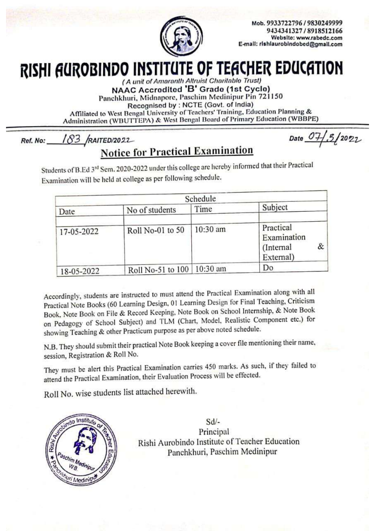

Mob. 9933722796 / 9830249999 9434341327 / 8918512166 Website: www.rabedc.com E-mail: rishiaurobindobed@gmail.com

## RISHI AUROBINDO INSTITUTE OF TEACHER EDUCATION

(A unit of Amaranth Altruist Charitable Trust)

NAAC Accredited 'B' Grade (1st Cycle)

Panchkhuri, Midnapore, Paschim Medinipur Pin 721150

Recognised by: NCTE (Govt. of India)

Affiliated to West Bengal University of Teachers' Training, Education Planning & Administration (WBUTTEPA) & West Bengal Board of Primary Education (WBBPE)

183 RAITED/2022 Ref. No:

**Notice for Practical Examination** 

Date  $07/5/2022$ 

Students of B.Ed 3<sup>rd</sup> Sem. 2020-2022 under this college are hereby informed that their Practical Examination will be held at college as per following schedule.

| Schedule   |                   |          |                                                         |
|------------|-------------------|----------|---------------------------------------------------------|
| Date       | No of students    | Time     | Subject                                                 |
| 17-05-2022 | Roll No-01 to 50  | 10:30 am | Practical<br>Examination<br>&<br>(Internal<br>External) |
| 18-05-2022 | Roll No-51 to 100 | 10:30 am | Do                                                      |

Accordingly, students are instructed to must attend the Practical Examination along with all Practical Note Books (60 Learning Design, 01 Learning Design for Final Teaching, Criticism Book, Note Book on File & Record Keeping, Note Book on School Internship, & Note Book on Pedagogy of School Subject) and TLM (Chart, Model, Realistic Component etc.) for showing Teaching & other Practicum purpose as per above noted schedule.

N.B. They should submit their practical Note Book keeping a cover file mentioning their name, session, Registration & Roll No.

They must be alert this Practical Examination carries 450 marks. As such, if they failed to attend the Practical Examination, their Evaluation Process will be effected.

Roll No. wise students list attached herewith.



 $Sd$ . Principal Rishi Aurobindo Institute of Teacher Education Panchkhuri, Paschim Medinipur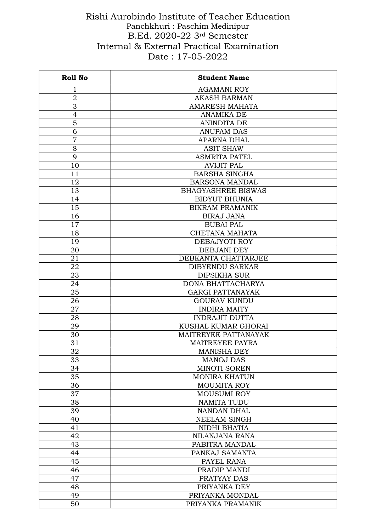## Rishi Aurobindo Institute of Teacher Education Panchkhuri : Paschim Medinipur B.Ed. 2020-22 3rd Semester Internal & External Practical Examination Date : 17-05-2022

| <b>Roll No</b> | <b>Student Name</b>       |  |
|----------------|---------------------------|--|
| 1              | <b>AGAMANI ROY</b>        |  |
| $\overline{2}$ | <b>AKASH BARMAN</b>       |  |
| 3              | <b>AMARESH MAHATA</b>     |  |
| 4              | <b>ANAMIKA DE</b>         |  |
| 5              | <b>ANINDITA DE</b>        |  |
| 6              | <b>ANUPAM DAS</b>         |  |
| $\overline{7}$ | <b>APARNA DHAL</b>        |  |
| 8              | <b>ASIT SHAW</b>          |  |
| 9              | <b>ASMRITA PATEL</b>      |  |
| 10             | <b>AVIJIT PAL</b>         |  |
| 11             | <b>BARSHA SINGHA</b>      |  |
| 12             | <b>BARSONA MANDAL</b>     |  |
| 13             | <b>BHAGYASHREE BISWAS</b> |  |
| 14             | <b>BIDYUT BHUNIA</b>      |  |
| 15             | <b>BIKRAM PRAMANIK</b>    |  |
| 16             | <b>BIRAJ JANA</b>         |  |
| 17             | <b>BUBAI PAL</b>          |  |
| 18             | CHETANA MAHATA            |  |
| 19             | DEBAJYOTI ROY             |  |
| 20             | DEBJANI DEY               |  |
| 21             | DEBKANTA CHATTARJEE       |  |
| 22             | <b>DIBYENDU SARKAR</b>    |  |
| 23             | <b>DIPSIKHA SUR</b>       |  |
| 24             | DONA BHATTACHARYA         |  |
| 25             | <b>GARGI PATTANAYAK</b>   |  |
| 26             | <b>GOURAV KUNDU</b>       |  |
| 27             | <b>INDIRA MAITY</b>       |  |
| 28             | <b>INDRAJIT DUTTA</b>     |  |
| 29             | KUSHAL KUMAR GHORAI       |  |
| 30             | MAITREYEE PATTANAYAK      |  |
| 31             | <b>MAITREYEE PAYRA</b>    |  |
| 32             | <b>MANISHA DEY</b>        |  |
| 33             | <b>MANOJ DAS</b>          |  |
| 34             | <b>MINOTI SOREN</b>       |  |
| 35             | <b>MONIRA KHATUN</b>      |  |
| 36             | <b>MOUMITA ROY</b>        |  |
| 37             | <b>MOUSUMI ROY</b>        |  |
| 38             | <b>NAMITA TUDU</b>        |  |
| 39             | NANDAN DHAL               |  |
| 40             | <b>NEELAM SINGH</b>       |  |
| 41             | NIDHI BHATIA              |  |
| 42             | NILANJANA RANA            |  |
| 43             | PABITRA MANDAL            |  |
| 44             | PANKAJ SAMANTA            |  |
| 45             | PAYEL RANA                |  |
| 46             | PRADIP MANDI              |  |
| 47             | PRATYAY DAS               |  |
| 48             | PRIYANKA DEY              |  |
| 49             | PRIYANKA MONDAL           |  |
| 50             | PRIYANKA PRAMANIK         |  |